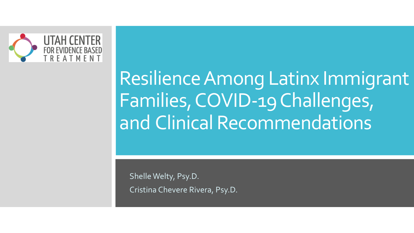

# Resilience Among Latinx Immigrant Families, COVID-19 Challenges, and Clinical Recommendations

Shelle Welty, Psy.D. Cristina Chevere Rivera, Psy.D.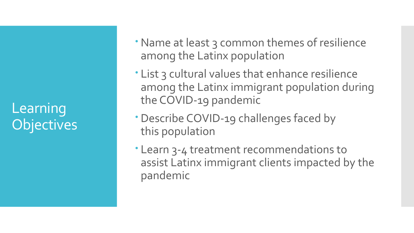Learning **Objectives** 

- Name at least 3 common themes of resilience among the Latinx population
- List 3 cultural values that enhance resilience among the Latinx immigrant population during the COVID-19 pandemic
- Describe COVID-19 challenges faced by this population
- Learn 3-4 treatment recommendations to assist Latinx immigrant clients impacted by the pandemic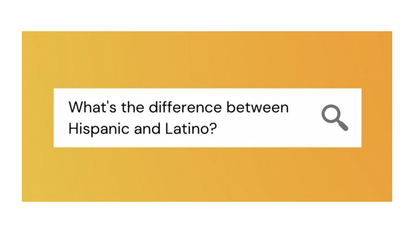# What's the difference between Hispanic and Latino?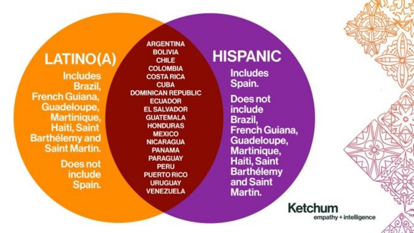### LATINO(A)

**Includes** Brazil, **French Guiana,** Guadeloupe, **Martinique, Haiti, Saint Barthélemy and Saint Martin.** 

> Does not include Spain.

**ARGENTINA BOLIVIA CHILE COLOMBIA COSTA RICA CUBA DOMINICAN REPUBLIC ECUADOR EL SALVADOR GUATEMALA HONDURAS MEXICO NICARAGUA PANAMA PARAGUAY PERU PUERTO RICO URUGUAY VENEZUELA** 

#### **HISPANIC**

**Includes** Spain.

Does not include Brazil, **French Guiana,** Guadeloupe, Martinique, **Haiti, Saint Barthélemy** and Saint Martin.

empathy + intelligence

**Ketchum**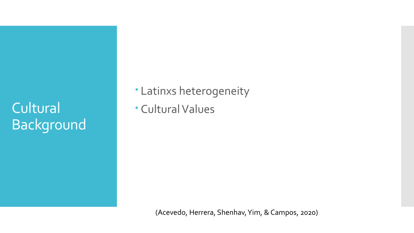### **Cultural** Background

- Latinxs heterogeneity
- **Cultural Values**

(Acevedo, Herrera, Shenhav, Yim, & Campos, 2020)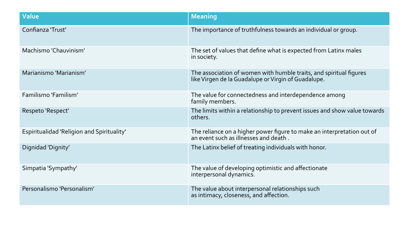| <b>Value</b>                               | <b>Meaning</b>                                                                                                            |
|--------------------------------------------|---------------------------------------------------------------------------------------------------------------------------|
| Confianza 'Trust'                          | The importance of truthfulness towards an individual or group.                                                            |
| Machismo 'Chauvinism'                      | The set of values that define what is expected from Latinx males<br>in society.                                           |
| Marianismo 'Marianism'                     | The association of women with humble traits, and spiritual figures<br>like Virgen de la Guadalupe or Virgin of Guadalupe. |
| Familismo 'Familism'                       | The value for connectedness and interdependence among<br>family members.                                                  |
| Respeto 'Respect'                          | The limits within a relationship to prevent issues and show value towards<br>others.                                      |
| Espiritualidad 'Religion and Spirituality' | The reliance on a higher power figure to make an interpretation out of<br>an event such as illnesses and death.           |
| Dignidad 'Dignity'                         | The Latinx belief of treating individuals with honor.                                                                     |
| Simpatia 'Sympathy'                        | The value of developing optimistic and affectionate<br>interpersonal dynamics.                                            |
| Personalismo 'Personalism'                 | The value about interpersonal relationships such<br>as intimacy, closeness, and affection.                                |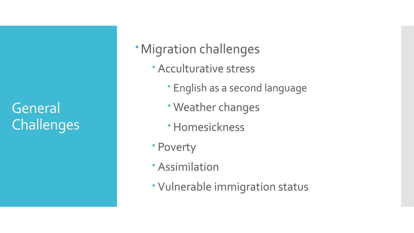**General** Challenges

#### Migration challenges

- Acculturative stress
	- English as a second language
	- Weather changes
	- Homesickness
- Poverty
- Assimilation
- Vulnerable immigration status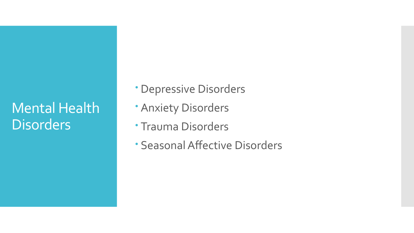#### Mental Health **Disorders**

- Depressive Disorders
- Anxiety Disorders
- Trauma Disorders
- SeasonalAffective Disorders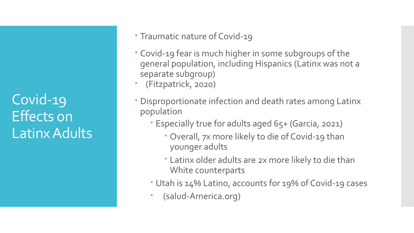Covid-19 Effects on LatinxAdults

#### • Traumatic nature of Covid-19

- Covid-19 fear is much higher in some subgroups of the general population, including Hispanics (Latinx was not a separate subgroup)
- (Fitzpatrick, 2020)
- Disproportionate infection and death rates among Latinx population
	- Especially true for adults aged 65+ (Garcia, 2021)
		- Overall, 7x more likely to die of Covid-19 than younger adults
		- Latinx older adults are 2x more likely to die than White counterparts
	- Utah is 14% Latino, accounts for 19% of Covid-19 cases
	- (salud-America.org)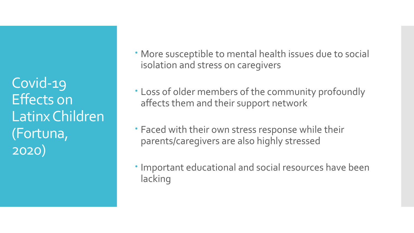Covid-19 Effects on Latinx Children (Fortuna, 2020)

- More susceptible to mental health issues due to social isolation and stress on caregivers
- Loss of older members of the community profoundly affects them and their support network
- Faced with their own stress response while their parents/caregivers are also highly stressed
- Important educational and social resources have been lacking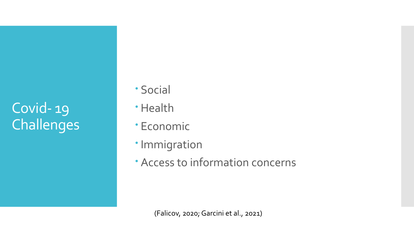# Covid- 19 Challenges

- Social
- **· Health**
- Economic
- · Immigration
- Access to information concerns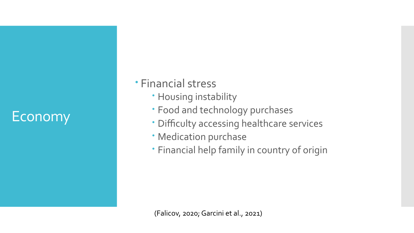#### Economy

- Financial stress
	- Housing instability
	- Food and technology purchases
	- Difficulty accessing healthcare services
	- Medication purchase
	- Financial help family in country of origin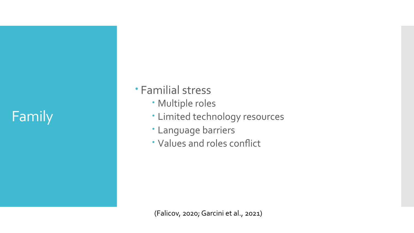### Family

- Familial stress
	- Multiple roles
	- Limited technology resources
	- Language barriers
	- Values and roles conflict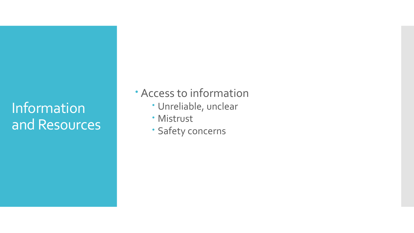#### **Information** and Resources

Access to information

- Unreliable, unclear
- Mistrust
- **· Safety concerns**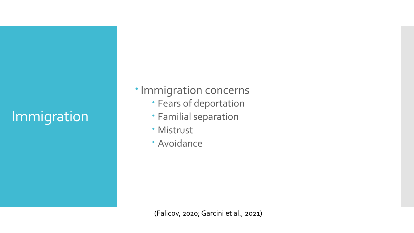# **Immigration**

- **· Immigration concerns** 
	- Fears of deportation
	- Familial separation
	- Mistrust
	- Avoidance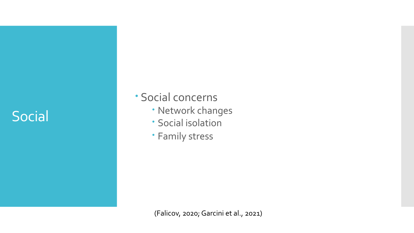#### Social

Social concerns

- Network changes
- **· Social isolation**
- Family stress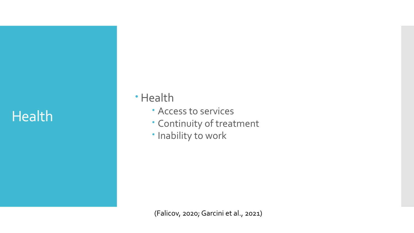#### **Health**

#### **·** Health

- Access to services
- Continuity of treatment
- · Inability to work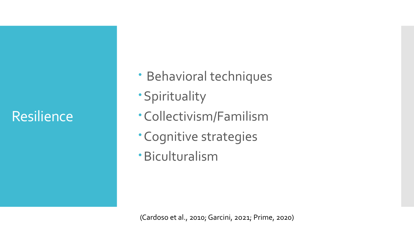#### Resilience

- Behavioral techniques
- **Spirituality**
- Collectivism/Familism
- Cognitive strategies
- Biculturalism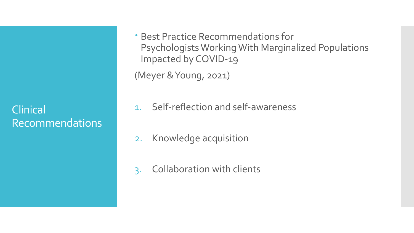Clinical **Recommendations**   Best Practice Recommendations for Psychologists WorkingWith Marginalized Populations Impacted by COVID-19

(Meyer & Young, 2021)

- 1. Self-reflection and self-awareness
- 2. Knowledge acquisition
- 3. Collaboration with clients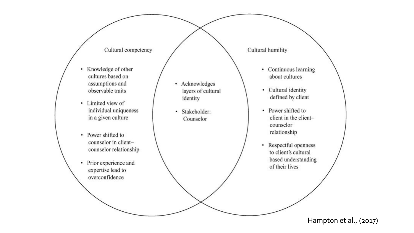Cultural competency

- Knowledge of other ٠ cultures based on assumptions and observable traits
- Limited view of individual uniqueness in a given culture
- Power shifted to counselor in clientcounselor relationship
- Prior experience and expertise lead to overconfidence
- Acknowledges layers of cultural identity
- · Stakeholder: Counselor
- Cultural humility
	- Continuous learning about cultures
	- Cultural identity defined by client
	- Power shifted to client in the clientcounselor relationship
	- Respectful openness ٠ to client's cultural based understanding of their lives

Hampton et al., (2017)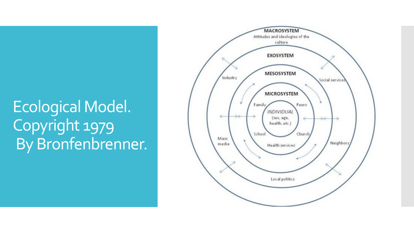# Ecological Model. Copyright 1979 By Bronfenbrenner.

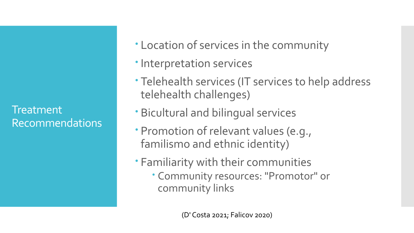**Treatment** Recommendations

- Location of services in the community
- **· Interpretation services**
- Telehealth services (IT services to help address telehealth challenges)
- Bicultural and bilingual services
- Promotion of relevant values (e.g., familismo and ethnic identity)
- Familiarity with their communities Community resources: "Promotor" or
	- community links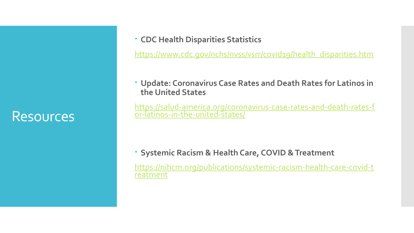Resources

**CDC Health Disparities Statistics** 

[https://www.cdc.gov/nchs/nvss/vsrr/covid19/health\\_disparities.htm](https://www.cdc.gov/nchs/nvss/vsrr/covid19/health_disparities.htm)

 **Update: Coronavirus Case Rates and Death Rates for Latinos in the United States** 

[https://salud-america.org/coronavirus-case-rates-and-death-rates-f](https://salud-america.org/coronavirus-case-rates-and-death-rates-for-latinos-in-the-united-states/) [or-latinos-in-the-united-states/](https://salud-america.org/coronavirus-case-rates-and-death-rates-for-latinos-in-the-united-states/)

**Systemic Racism & Health Care, COVID &Treatment** 

[https://nihcm.org/publications/systemic-racism-health-care-covid-t](https://nihcm.org/publications/systemic-racism-health-care-covid-treatment) [reatment](https://nihcm.org/publications/systemic-racism-health-care-covid-treatment)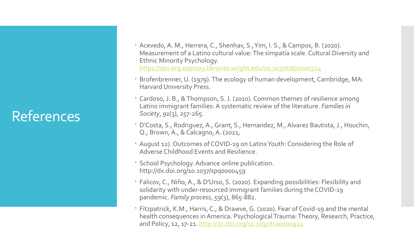#### References

- Acevedo, A. M., Herrera, C., Shenhav, S., Yim, I. S., & Campos, B. (2020). Measurement of a Latino cultural value: The simpatía scale. Cultural Diversity and Ethnic Minority Psychology. <https://doi-org.ezproxy.libraries.wright.edu/10.1037/cdp0000324>
- Brofenbrenner, U. (1979). The ecology of human development, Cambridge, MA: Harvard University Press.
- Cardoso,J. B., &Thompson, S.J. (2010). Common themes of resilience among Latino immigrant families: A systematic review of the literature. *Families in Society*, *91*(3), 257-265.
- D'Costa, S., Rodriguez, A.,Grant, S., Hernandez, M.,Alvarez Bautista,J., Houchin, Q., Brown, A., & Calcagno, A. (2021,
- August 12). Outcomes of COVID-19 on LatinxYouth: Considering the Role of Adverse Childhood Events and Resilience.
- School Psychology. Advance online publication. http://dx.doi.org/10.1037/spq0000459
- Falicov, C., Niño,A., & D'Urso, S. (2020). Expanding possibilities: Flexibility and solidarity with under-resourced immigrant families during the COVID-19 pandemic. *Family process*, *59*(3), 865-882.
- Fitzpatrick, K.M., Harris, C., & Drawve,G. (2020). Fear of Covid-19 and the mental health consequences in America. Psychological Trauma: Theory, Research, Practice, and Policy, 12, 17-21.<http://dx.doi.org/10.1037/tra0000924>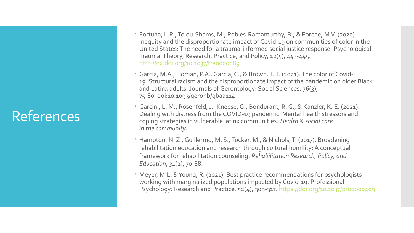#### References

- Fortuna, L.R.,Tolou-Shams, M., Robles-Ramamurthy, B., & Porche, M.V. (2020). Inequity and the disproportionate impact of Covid-19 on communities of color in the United States: The need for a trauma-informed social justice response. Psychological Trauma:Theory, Research, Practice, and Policy, 12(5), 443-445. <http://dx.doi.org/10.1037/tra0000889>
- Garcia, M.A., Homan, P.A., Garcia, C., & Brown, T.H. (2021). The color of Covid-19: Structural racism and the disproportionate impact of the pandemic on older Black and Latinx adults. Journals of Gerontology: Social Sciences, 76(3), 75-80. doi:10.1093/geronb/gbaa114
- Garcini, L. M., Rosenfeld, J., Kneese, G., Bondurant, R. G., & Kanzler, K. E. (2021). Dealing with distress from the COVID-19 pandemic: Mental health stressors and coping strategies in vulnerable latinx communities. *Health & social care in the community*.
- Hampton, N. Z., Guillermo, M. S.,Tucker, M., & Nichols, T. (2017). Broadening rehabilitation education and research through cultural humility: A conceptual framework for rehabilitation counseling. *Rehabilitation Research, Policy, and Education*, *31*(2), 70-88.
- Meyer, M.L. & Young, R. (2021). Best practice recommendations for psychologists working with marginalized populations impacted by Covid-19. Professional Psychology: Research and Practice, 52(4), 309-317.<https://doi.org/10.1037/pro0000409>